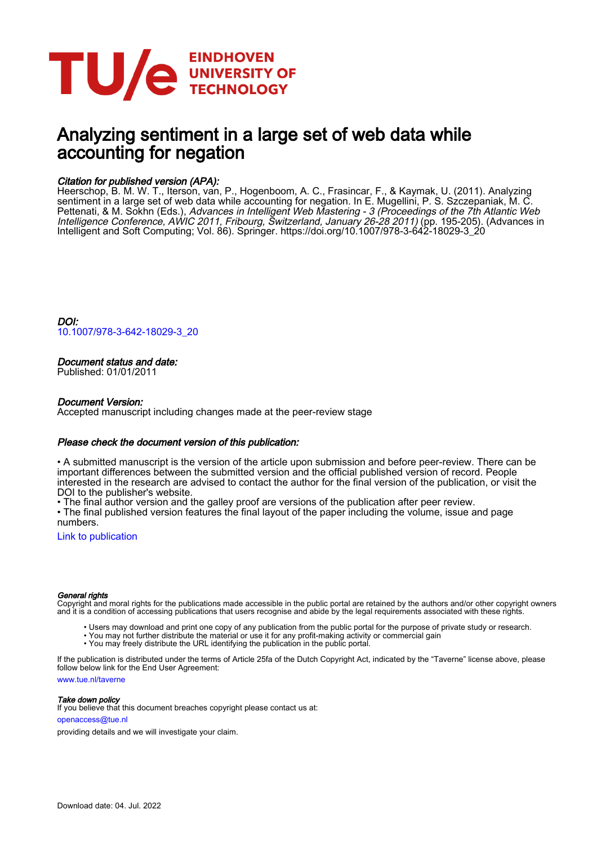

# Analyzing sentiment in a large set of web data while accounting for negation

### Citation for published version (APA):

Heerschop, B. M. W. T., Iterson, van, P., Hogenboom, A. C., Frasincar, F., & Kaymak, U. (2011). Analyzing sentiment in a large set of web data while accounting for negation. In E. Mugellini, P. S. Szczepaniak, M. C. Pettenati, & M. Sokhn (Eds.), Advances in Intelligent Web Mastering - 3 (Proceedings of the 7th Atlantic Web Intelligence Conference, AWIC 2011, Fribourg, Switzerland, January 26-28 2011) (pp. 195-205). (Advances in Intelligent and Soft Computing; Vol. 86). Springer. [https://doi.org/10.1007/978-3-642-18029-3\\_20](https://doi.org/10.1007/978-3-642-18029-3_20)

DOI: [10.1007/978-3-642-18029-3\\_20](https://doi.org/10.1007/978-3-642-18029-3_20)

#### Document status and date:

Published: 01/01/2011

#### Document Version:

Accepted manuscript including changes made at the peer-review stage

#### Please check the document version of this publication:

• A submitted manuscript is the version of the article upon submission and before peer-review. There can be important differences between the submitted version and the official published version of record. People interested in the research are advised to contact the author for the final version of the publication, or visit the DOI to the publisher's website.

• The final author version and the galley proof are versions of the publication after peer review.

• The final published version features the final layout of the paper including the volume, issue and page numbers.

[Link to publication](https://research.tue.nl/en/publications/b874ba07-f431-4aa0-97ac-b280b772908e)

#### General rights

Copyright and moral rights for the publications made accessible in the public portal are retained by the authors and/or other copyright owners and it is a condition of accessing publications that users recognise and abide by the legal requirements associated with these rights.

- Users may download and print one copy of any publication from the public portal for the purpose of private study or research.
- You may not further distribute the material or use it for any profit-making activity or commercial gain
- You may freely distribute the URL identifying the publication in the public portal.

If the publication is distributed under the terms of Article 25fa of the Dutch Copyright Act, indicated by the "Taverne" license above, please follow below link for the End User Agreement:

www.tue.nl/taverne

**Take down policy**<br>If you believe that this document breaches copyright please contact us at:

openaccess@tue.nl

providing details and we will investigate your claim.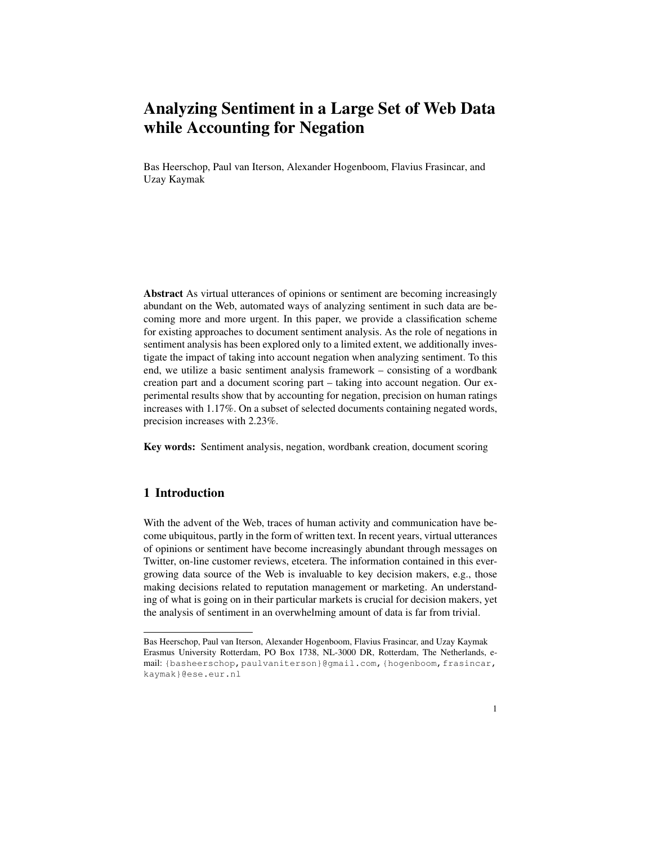## Analyzing Sentiment in a Large Set of Web Data while Accounting for Negation

Bas Heerschop, Paul van Iterson, Alexander Hogenboom, Flavius Frasincar, and Uzay Kaymak

Abstract As virtual utterances of opinions or sentiment are becoming increasingly abundant on the Web, automated ways of analyzing sentiment in such data are becoming more and more urgent. In this paper, we provide a classification scheme for existing approaches to document sentiment analysis. As the role of negations in sentiment analysis has been explored only to a limited extent, we additionally investigate the impact of taking into account negation when analyzing sentiment. To this end, we utilize a basic sentiment analysis framework – consisting of a wordbank creation part and a document scoring part – taking into account negation. Our experimental results show that by accounting for negation, precision on human ratings increases with 1.17%. On a subset of selected documents containing negated words, precision increases with 2.23%.

Key words: Sentiment analysis, negation, wordbank creation, document scoring

### 1 Introduction

With the advent of the Web, traces of human activity and communication have become ubiquitous, partly in the form of written text. In recent years, virtual utterances of opinions or sentiment have become increasingly abundant through messages on Twitter, on-line customer reviews, etcetera. The information contained in this evergrowing data source of the Web is invaluable to key decision makers, e.g., those making decisions related to reputation management or marketing. An understanding of what is going on in their particular markets is crucial for decision makers, yet the analysis of sentiment in an overwhelming amount of data is far from trivial.

Bas Heerschop, Paul van Iterson, Alexander Hogenboom, Flavius Frasincar, and Uzay Kaymak Erasmus University Rotterdam, PO Box 1738, NL-3000 DR, Rotterdam, The Netherlands, email: {basheerschop, paulvaniterson}@gmail.com, {hogenboom, frasincar, kaymak}@ese.eur.nl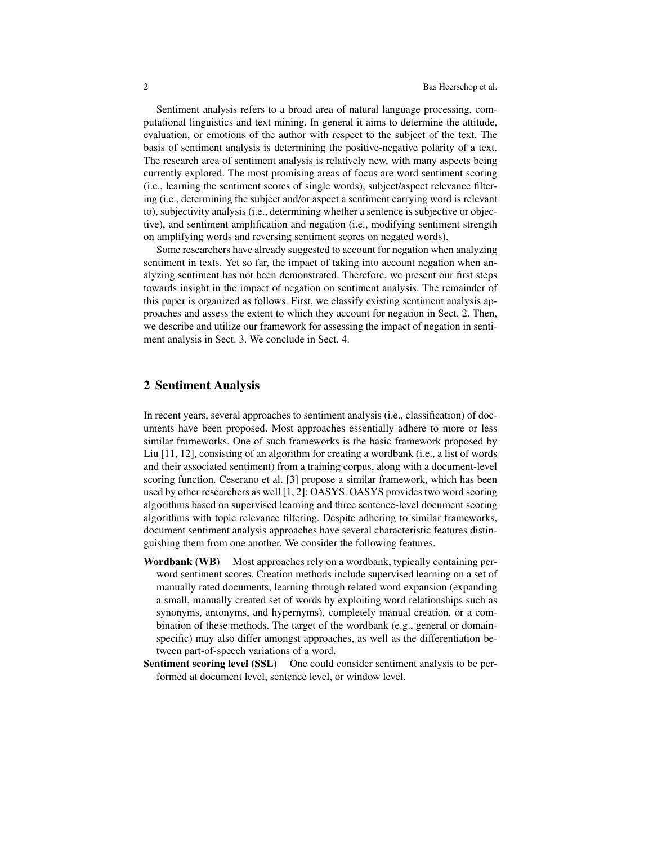Sentiment analysis refers to a broad area of natural language processing, computational linguistics and text mining. In general it aims to determine the attitude, evaluation, or emotions of the author with respect to the subject of the text. The basis of sentiment analysis is determining the positive-negative polarity of a text. The research area of sentiment analysis is relatively new, with many aspects being currently explored. The most promising areas of focus are word sentiment scoring (i.e., learning the sentiment scores of single words), subject/aspect relevance filtering (i.e., determining the subject and/or aspect a sentiment carrying word is relevant to), subjectivity analysis (i.e., determining whether a sentence is subjective or objective), and sentiment amplification and negation (i.e., modifying sentiment strength on amplifying words and reversing sentiment scores on negated words).

Some researchers have already suggested to account for negation when analyzing sentiment in texts. Yet so far, the impact of taking into account negation when analyzing sentiment has not been demonstrated. Therefore, we present our first steps towards insight in the impact of negation on sentiment analysis. The remainder of this paper is organized as follows. First, we classify existing sentiment analysis approaches and assess the extent to which they account for negation in Sect. 2. Then, we describe and utilize our framework for assessing the impact of negation in sentiment analysis in Sect. 3. We conclude in Sect. 4.

#### 2 Sentiment Analysis

In recent years, several approaches to sentiment analysis (i.e., classification) of documents have been proposed. Most approaches essentially adhere to more or less similar frameworks. One of such frameworks is the basic framework proposed by Liu [11, 12], consisting of an algorithm for creating a wordbank (i.e., a list of words and their associated sentiment) from a training corpus, along with a document-level scoring function. Ceserano et al. [3] propose a similar framework, which has been used by other researchers as well [1, 2]: OASYS. OASYS provides two word scoring algorithms based on supervised learning and three sentence-level document scoring algorithms with topic relevance filtering. Despite adhering to similar frameworks, document sentiment analysis approaches have several characteristic features distinguishing them from one another. We consider the following features.

- Wordbank (WB) Most approaches rely on a wordbank, typically containing perword sentiment scores. Creation methods include supervised learning on a set of manually rated documents, learning through related word expansion (expanding a small, manually created set of words by exploiting word relationships such as synonyms, antonyms, and hypernyms), completely manual creation, or a combination of these methods. The target of the wordbank (e.g., general or domainspecific) may also differ amongst approaches, as well as the differentiation between part-of-speech variations of a word.
- Sentiment scoring level (SSL) One could consider sentiment analysis to be performed at document level, sentence level, or window level.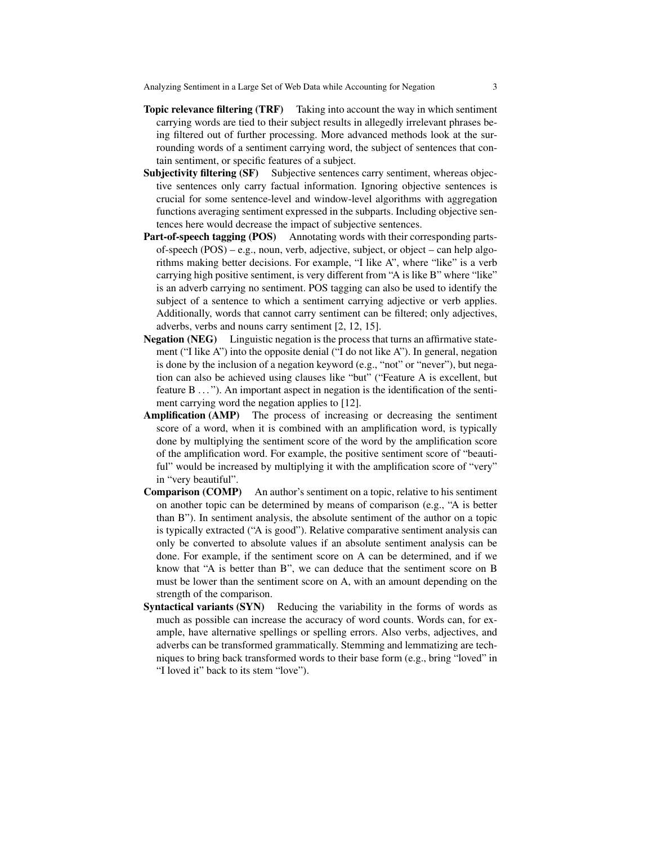Analyzing Sentiment in a Large Set of Web Data while Accounting for Negation 3

- Topic relevance filtering (TRF) Taking into account the way in which sentiment carrying words are tied to their subject results in allegedly irrelevant phrases being filtered out of further processing. More advanced methods look at the surrounding words of a sentiment carrying word, the subject of sentences that contain sentiment, or specific features of a subject.
- Subjectivity filtering (SF) Subjective sentences carry sentiment, whereas objective sentences only carry factual information. Ignoring objective sentences is crucial for some sentence-level and window-level algorithms with aggregation functions averaging sentiment expressed in the subparts. Including objective sentences here would decrease the impact of subjective sentences.
- Part-of-speech tagging (POS) Annotating words with their corresponding partsof-speech (POS) – e.g., noun, verb, adjective, subject, or object – can help algorithms making better decisions. For example, "I like A", where "like" is a verb carrying high positive sentiment, is very different from "A is like B" where "like" is an adverb carrying no sentiment. POS tagging can also be used to identify the subject of a sentence to which a sentiment carrying adjective or verb applies. Additionally, words that cannot carry sentiment can be filtered; only adjectives, adverbs, verbs and nouns carry sentiment [2, 12, 15].
- Negation (NEG) Linguistic negation is the process that turns an affirmative statement ("I like A") into the opposite denial ("I do not like A"). In general, negation is done by the inclusion of a negation keyword (e.g., "not" or "never"), but negation can also be achieved using clauses like "but" ("Feature A is excellent, but feature B ..."). An important aspect in negation is the identification of the sentiment carrying word the negation applies to [12].
- Amplification (AMP) The process of increasing or decreasing the sentiment score of a word, when it is combined with an amplification word, is typically done by multiplying the sentiment score of the word by the amplification score of the amplification word. For example, the positive sentiment score of "beautiful" would be increased by multiplying it with the amplification score of "very" in "very beautiful".
- Comparison (COMP) An author's sentiment on a topic, relative to his sentiment on another topic can be determined by means of comparison (e.g., "A is better than B"). In sentiment analysis, the absolute sentiment of the author on a topic is typically extracted ("A is good"). Relative comparative sentiment analysis can only be converted to absolute values if an absolute sentiment analysis can be done. For example, if the sentiment score on A can be determined, and if we know that "A is better than B", we can deduce that the sentiment score on B must be lower than the sentiment score on A, with an amount depending on the strength of the comparison.
- **Syntactical variants (SYN)** Reducing the variability in the forms of words as much as possible can increase the accuracy of word counts. Words can, for example, have alternative spellings or spelling errors. Also verbs, adjectives, and adverbs can be transformed grammatically. Stemming and lemmatizing are techniques to bring back transformed words to their base form (e.g., bring "loved" in "I loved it" back to its stem "love").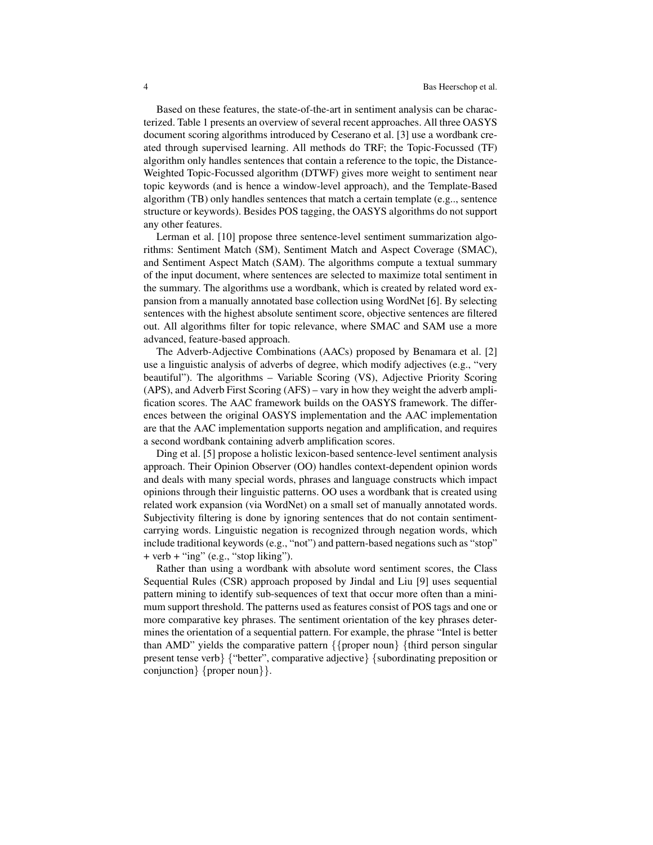Based on these features, the state-of-the-art in sentiment analysis can be characterized. Table 1 presents an overview of several recent approaches. All three OASYS document scoring algorithms introduced by Ceserano et al. [3] use a wordbank created through supervised learning. All methods do TRF; the Topic-Focussed (TF) algorithm only handles sentences that contain a reference to the topic, the Distance-Weighted Topic-Focussed algorithm (DTWF) gives more weight to sentiment near topic keywords (and is hence a window-level approach), and the Template-Based algorithm (TB) only handles sentences that match a certain template (e.g.., sentence structure or keywords). Besides POS tagging, the OASYS algorithms do not support any other features.

Lerman et al. [10] propose three sentence-level sentiment summarization algorithms: Sentiment Match (SM), Sentiment Match and Aspect Coverage (SMAC), and Sentiment Aspect Match (SAM). The algorithms compute a textual summary of the input document, where sentences are selected to maximize total sentiment in the summary. The algorithms use a wordbank, which is created by related word expansion from a manually annotated base collection using WordNet [6]. By selecting sentences with the highest absolute sentiment score, objective sentences are filtered out. All algorithms filter for topic relevance, where SMAC and SAM use a more advanced, feature-based approach.

The Adverb-Adjective Combinations (AACs) proposed by Benamara et al. [2] use a linguistic analysis of adverbs of degree, which modify adjectives (e.g., "very beautiful"). The algorithms – Variable Scoring (VS), Adjective Priority Scoring (APS), and Adverb First Scoring (AFS) – vary in how they weight the adverb amplification scores. The AAC framework builds on the OASYS framework. The differences between the original OASYS implementation and the AAC implementation are that the AAC implementation supports negation and amplification, and requires a second wordbank containing adverb amplification scores.

Ding et al. [5] propose a holistic lexicon-based sentence-level sentiment analysis approach. Their Opinion Observer (OO) handles context-dependent opinion words and deals with many special words, phrases and language constructs which impact opinions through their linguistic patterns. OO uses a wordbank that is created using related work expansion (via WordNet) on a small set of manually annotated words. Subjectivity filtering is done by ignoring sentences that do not contain sentimentcarrying words. Linguistic negation is recognized through negation words, which include traditional keywords (e.g., "not") and pattern-based negations such as "stop" + verb + "ing" (e.g., "stop liking").

Rather than using a wordbank with absolute word sentiment scores, the Class Sequential Rules (CSR) approach proposed by Jindal and Liu [9] uses sequential pattern mining to identify sub-sequences of text that occur more often than a minimum support threshold. The patterns used as features consist of POS tags and one or more comparative key phrases. The sentiment orientation of the key phrases determines the orientation of a sequential pattern. For example, the phrase "Intel is better than AMD" yields the comparative pattern {{proper noun} {third person singular present tense verb  $\{$  "better", comparative adjective  $\{$  subordinating preposition or conjunction} {proper noun}}.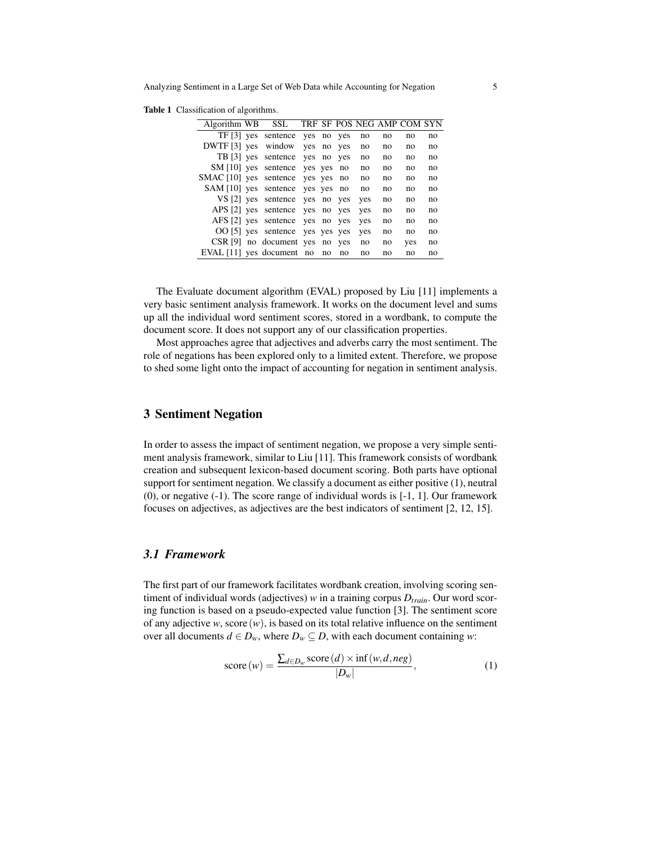Table 1 Classification of algorithms.

| Algorithm WB                   | SSL                             |    |     |     |    | TRF SF POS NEG AMP COM SYN |    |
|--------------------------------|---------------------------------|----|-----|-----|----|----------------------------|----|
|                                | $TF[3]$ yes sentence yes        | no | yes | no  | no | no                         | no |
| $DWTF[3]$ yes                  | window yes                      | no | yes | no  | no | no                         | no |
|                                | TB [3] yes sentence yes         | no | yes | no  | no | no                         | no |
|                                | SM [10] yes sentence yes yes    |    | no  | no  | no | no                         | no |
| SMAC [10] yes sentence yes yes |                                 |    | no  | no  | no | no                         | no |
| SAM [10] yes sentence yes yes  |                                 |    | no  | no  | no | no                         | no |
|                                | VS [2] yes sentence yes no yes  |    |     | yes | no | no                         | no |
|                                | APS [2] yes sentence yes no yes |    |     | yes | no | no                         | no |
|                                | AFS [2] yes sentence yes no     |    | yes | yes | no | no                         | no |
|                                | OO [5] yes sentence yes yes yes |    |     | yes | no | no                         | no |
|                                | $CSR[9]$ no document yes no     |    | yes | no  | no | yes                        | no |
| EVAL $[11]$ yes document no    |                                 | no | no  | no  | no | no                         | no |

The Evaluate document algorithm (EVAL) proposed by Liu [11] implements a very basic sentiment analysis framework. It works on the document level and sums up all the individual word sentiment scores, stored in a wordbank, to compute the document score. It does not support any of our classification properties.

Most approaches agree that adjectives and adverbs carry the most sentiment. The role of negations has been explored only to a limited extent. Therefore, we propose to shed some light onto the impact of accounting for negation in sentiment analysis.

#### 3 Sentiment Negation

In order to assess the impact of sentiment negation, we propose a very simple sentiment analysis framework, similar to Liu [11]. This framework consists of wordbank creation and subsequent lexicon-based document scoring. Both parts have optional support for sentiment negation. We classify a document as either positive (1), neutral (0), or negative (-1). The score range of individual words is [-1, 1]. Our framework focuses on adjectives, as adjectives are the best indicators of sentiment [2, 12, 15].

#### *3.1 Framework*

The first part of our framework facilitates wordbank creation, involving scoring sentiment of individual words (adjectives) *w* in a training corpus *Dtrain*. Our word scoring function is based on a pseudo-expected value function [3]. The sentiment score of any adjective  $w$ , score  $(w)$ , is based on its total relative influence on the sentiment over all documents  $d \in D_w$ , where  $D_w \subseteq D$ , with each document containing *w*:

score(w) = 
$$
\frac{\sum_{d \in D_w} \text{score}(d) \times \text{inf}(w, d, neg)}{|D_w|},
$$
 (1)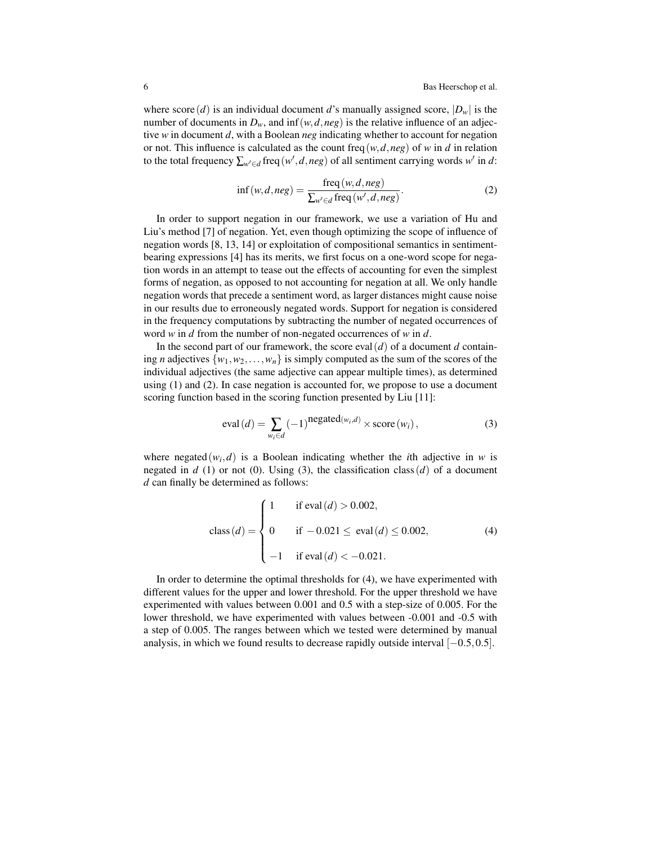where score (*d*) is an individual document *d*'s manually assigned score,  $|D_w|$  is the number of documents in  $D_w$ , and inf( $w$ ,*d*,*neg*) is the relative influence of an adjective *w* in document *d*, with a Boolean *neg* indicating whether to account for negation or not. This influence is calculated as the count freq(*w*,*d*,*neg*) of *w* in *d* in relation to the total frequency  $\sum_{w' \in d} \text{freq}(w', d, neg)$  of all sentiment carrying words  $w'$  in *d*:

$$
\inf(w,d,neg) = \frac{\text{freq}(w,d,neg)}{\sum_{w' \in d} \text{freq}(w',d,neg)}.\tag{2}
$$

In order to support negation in our framework, we use a variation of Hu and Liu's method [7] of negation. Yet, even though optimizing the scope of influence of negation words [8, 13, 14] or exploitation of compositional semantics in sentimentbearing expressions [4] has its merits, we first focus on a one-word scope for negation words in an attempt to tease out the effects of accounting for even the simplest forms of negation, as opposed to not accounting for negation at all. We only handle negation words that precede a sentiment word, as larger distances might cause noise in our results due to erroneously negated words. Support for negation is considered in the frequency computations by subtracting the number of negated occurrences of word *w* in *d* from the number of non-negated occurrences of *w* in *d*.

In the second part of our framework, the score eval  $(d)$  of a document  $d$  containing *n* adjectives  $\{w_1, w_2, \ldots, w_n\}$  is simply computed as the sum of the scores of the individual adjectives (the same adjective can appear multiple times), as determined using (1) and (2). In case negation is accounted for, we propose to use a document scoring function based in the scoring function presented by Liu [11]:

$$
eval(d) = \sum_{w_i \in d} (-1)^{\text{negated}(w_i, d)} \times \text{score}(w_i),
$$
\n(3)

where negated  $(w_i, d)$  is a Boolean indicating whether the *i*th adjective in *w* is negated in  $d(1)$  or not (0). Using (3), the classification class( $d$ ) of a document *d* can finally be determined as follows:

class 
$$
(d)
$$
 = 
$$
\begin{cases} 1 & \text{if eval}(d) > 0.002, \\ 0 & \text{if } -0.021 \le \text{eval}(d) \le 0.002, \\ -1 & \text{if eval}(d) < -0.021. \end{cases}
$$
 (4)

In order to determine the optimal thresholds for (4), we have experimented with different values for the upper and lower threshold. For the upper threshold we have experimented with values between 0.001 and 0.5 with a step-size of 0.005. For the lower threshold, we have experimented with values between -0.001 and -0.5 with a step of 0.005. The ranges between which we tested were determined by manual analysis, in which we found results to decrease rapidly outside interval [−0.5,0.5].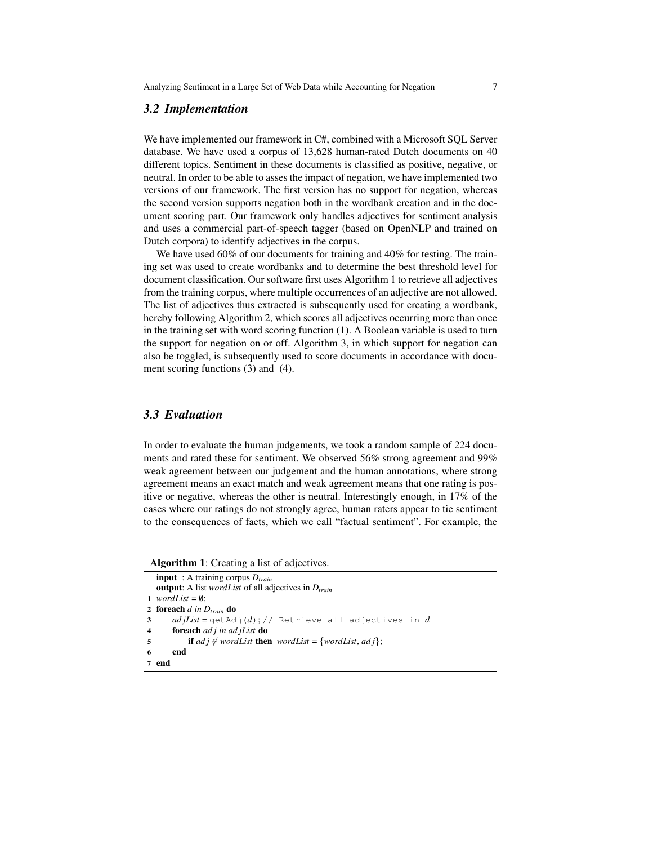#### *3.2 Implementation*

We have implemented our framework in C#, combined with a Microsoft SQL Server database. We have used a corpus of 13,628 human-rated Dutch documents on 40 different topics. Sentiment in these documents is classified as positive, negative, or neutral. In order to be able to asses the impact of negation, we have implemented two versions of our framework. The first version has no support for negation, whereas the second version supports negation both in the wordbank creation and in the document scoring part. Our framework only handles adjectives for sentiment analysis and uses a commercial part-of-speech tagger (based on OpenNLP and trained on Dutch corpora) to identify adjectives in the corpus.

We have used 60% of our documents for training and 40% for testing. The training set was used to create wordbanks and to determine the best threshold level for document classification. Our software first uses Algorithm 1 to retrieve all adjectives from the training corpus, where multiple occurrences of an adjective are not allowed. The list of adjectives thus extracted is subsequently used for creating a wordbank, hereby following Algorithm 2, which scores all adjectives occurring more than once in the training set with word scoring function (1). A Boolean variable is used to turn the support for negation on or off. Algorithm 3, in which support for negation can also be toggled, is subsequently used to score documents in accordance with document scoring functions (3) and (4).

#### *3.3 Evaluation*

In order to evaluate the human judgements, we took a random sample of 224 documents and rated these for sentiment. We observed 56% strong agreement and 99% weak agreement between our judgement and the human annotations, where strong agreement means an exact match and weak agreement means that one rating is positive or negative, whereas the other is neutral. Interestingly enough, in 17% of the cases where our ratings do not strongly agree, human raters appear to tie sentiment to the consequences of facts, which we call "factual sentiment". For example, the

| <b>Algorithm 1:</b> Creating a list of adjectives. |                                                                              |  |  |  |  |
|----------------------------------------------------|------------------------------------------------------------------------------|--|--|--|--|
|                                                    | <b>input</b> : A training corpus $D_{train}$                                 |  |  |  |  |
|                                                    | <b>output:</b> A list <i>word List</i> of all adjectives in $D_{train}$      |  |  |  |  |
|                                                    | 1 <i>wordList</i> = $\emptyset$ ;                                            |  |  |  |  |
|                                                    | 2 foreach d in $D_{train}$ do                                                |  |  |  |  |
| 3                                                  | $adjList = getAdi(d); //$ Retrieve all adjectives in d                       |  |  |  |  |
| $\overline{4}$                                     | <b>foreach</b> $ad$ <i>j</i> in $ad$ <i>j List</i> <b>do</b>                 |  |  |  |  |
| 5                                                  | <b>if</b> ad $i \notin$ wordList <b>then</b> wordList = {wordList, ad $i$ }; |  |  |  |  |
| 6                                                  | end                                                                          |  |  |  |  |
|                                                    | 7 end                                                                        |  |  |  |  |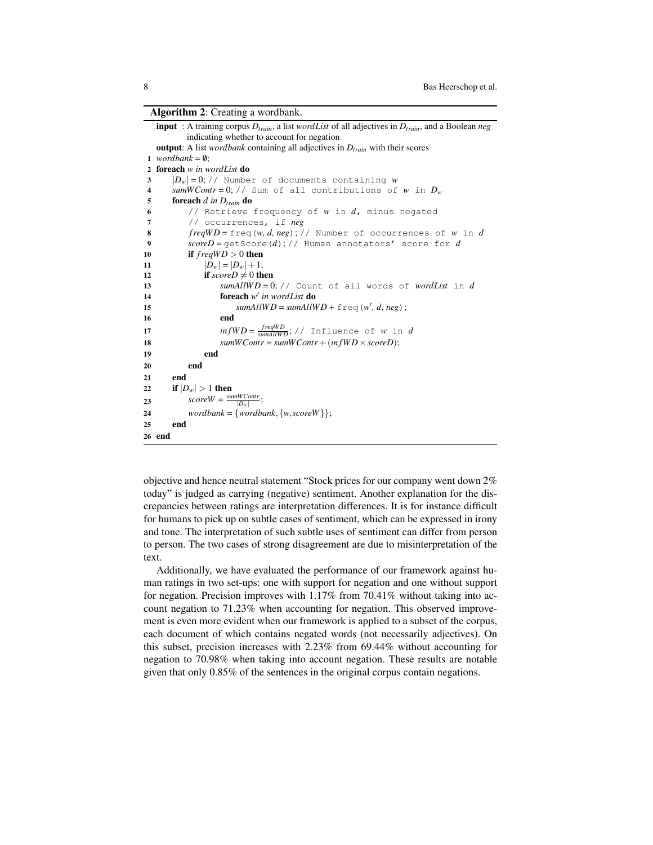```
Algorithm 2: Creating a wordbank.
  input : A training corpus Dtrain, a list wordList of all adjectives in Dtrain, and a Boolean neg
        indicating whether to account for negation
  output: A list wordbank containing all adjectives in D_{train} with their scores
1 wordbank = \emptyset;
2 foreach w in wordList do
3 |D_w| = 0; // Number of documents containing w
4 sumWContr = 0; // Sum of all contributions of w in D_w5 foreach d in Dtrain do
6 // Retrieve frequency of w in d, minus negated
7 // occurrences, if neg
8 f reqW D = freq(w, d, neg); // Number of occurrences of w in d
9 scoreD = getScore(d); // Human annotators' score for d
10 if freqWD > 0 then
11 |D_w| = |D_w| + 1;12 if scoreD \neq 0 then
13 sumAllW D = 0; // Count of all words of wordList in d
foreach w
0
14 in wordList do
15 sumAllWD = sumAllWD + \text{freq}(w', d, neg);16 end
17 infWD = \frac{freqWD}{sumH/UVD}; // Influence of w in d
18 sumWContr = sumWContr + (infWD \times scoreD);19 end
20 end
21 end
22 if |D_w| > 1 then
23 scoreW = \frac{sumWContr}{|D_w|};
24 wordbank = {wordbank, {w, scoreW}};
25 end
26 end
```
objective and hence neutral statement "Stock prices for our company went down 2% today" is judged as carrying (negative) sentiment. Another explanation for the discrepancies between ratings are interpretation differences. It is for instance difficult for humans to pick up on subtle cases of sentiment, which can be expressed in irony and tone. The interpretation of such subtle uses of sentiment can differ from person to person. The two cases of strong disagreement are due to misinterpretation of the text.

Additionally, we have evaluated the performance of our framework against human ratings in two set-ups: one with support for negation and one without support for negation. Precision improves with 1.17% from 70.41% without taking into account negation to 71.23% when accounting for negation. This observed improvement is even more evident when our framework is applied to a subset of the corpus, each document of which contains negated words (not necessarily adjectives). On this subset, precision increases with 2.23% from 69.44% without accounting for negation to 70.98% when taking into account negation. These results are notable given that only 0.85% of the sentences in the original corpus contain negations.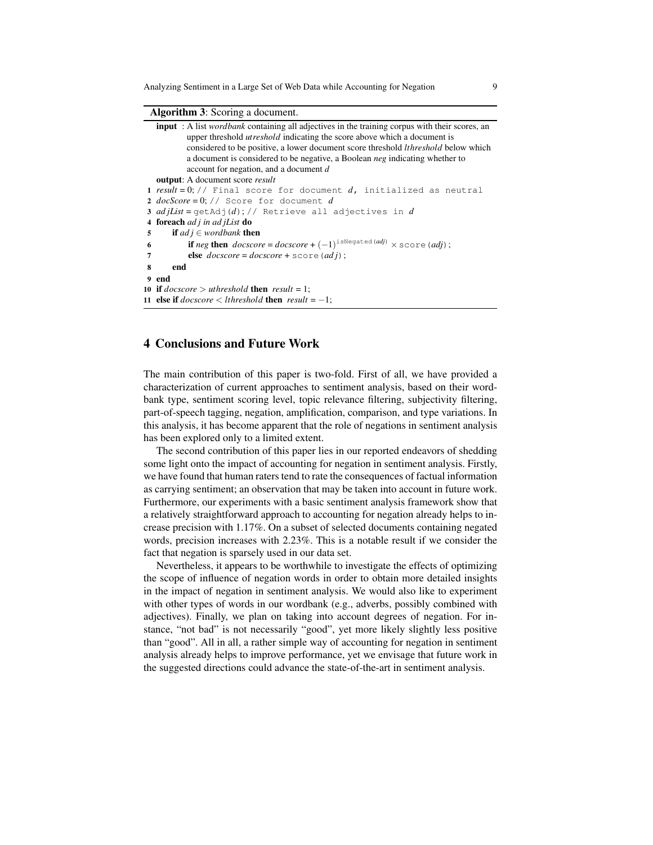#### Algorithm 3: Scoring a document.

|   | <b>input</b> : A list <i>wordbank</i> containing all adjectives in the training corpus with their scores, an<br>upper threshold <i>utreshold</i> indicating the score above which a document is |
|---|-------------------------------------------------------------------------------------------------------------------------------------------------------------------------------------------------|
|   | considered to be positive, a lower document score threshold <i>lthreshold</i> below which                                                                                                       |
|   | a document is considered to be negative, a Boolean <i>neg</i> indicating whether to                                                                                                             |
|   | account for negation, and a document d                                                                                                                                                          |
|   | <b>output:</b> A document score <i>result</i>                                                                                                                                                   |
|   | 1 $result = 0$ ; // Final score for document $d$ , initialized as neutral                                                                                                                       |
|   | 2 $docScore = 0; // Score for document d$                                                                                                                                                       |
|   | 3 $adjList = getAdj(d); //$ Retrieve all adjectives in d                                                                                                                                        |
|   | 4 foreach <i>ad i</i> in <i>ad iList</i> do                                                                                                                                                     |
| 5 | <b>if</b> $ad \, i \in wordbank$ <b>then</b>                                                                                                                                                    |
| 6 | <b>if</b> neg then $\text{doscore} = \text{doscore} + (-1)^{\text{i-shegated}(\text{adj})} \times \text{score}(\text{adj})$ ;                                                                   |
| 7 | <b>else</b> $docscore = docscore + score(adi);$                                                                                                                                                 |
| 8 | end                                                                                                                                                                                             |
|   | 9 end                                                                                                                                                                                           |
|   | 10 if <i>docscore</i> $>$ <i>uthreshold</i> then <i>result</i> = 1;                                                                                                                             |
|   | 11 else if $doscore < It$ hreshold then result = -1;                                                                                                                                            |
|   |                                                                                                                                                                                                 |

#### 4 Conclusions and Future Work

The main contribution of this paper is two-fold. First of all, we have provided a characterization of current approaches to sentiment analysis, based on their wordbank type, sentiment scoring level, topic relevance filtering, subjectivity filtering, part-of-speech tagging, negation, amplification, comparison, and type variations. In this analysis, it has become apparent that the role of negations in sentiment analysis has been explored only to a limited extent.

The second contribution of this paper lies in our reported endeavors of shedding some light onto the impact of accounting for negation in sentiment analysis. Firstly, we have found that human raters tend to rate the consequences of factual information as carrying sentiment; an observation that may be taken into account in future work. Furthermore, our experiments with a basic sentiment analysis framework show that a relatively straightforward approach to accounting for negation already helps to increase precision with 1.17%. On a subset of selected documents containing negated words, precision increases with 2.23%. This is a notable result if we consider the fact that negation is sparsely used in our data set.

Nevertheless, it appears to be worthwhile to investigate the effects of optimizing the scope of influence of negation words in order to obtain more detailed insights in the impact of negation in sentiment analysis. We would also like to experiment with other types of words in our wordbank (e.g., adverbs, possibly combined with adjectives). Finally, we plan on taking into account degrees of negation. For instance, "not bad" is not necessarily "good", yet more likely slightly less positive than "good". All in all, a rather simple way of accounting for negation in sentiment analysis already helps to improve performance, yet we envisage that future work in the suggested directions could advance the state-of-the-art in sentiment analysis.